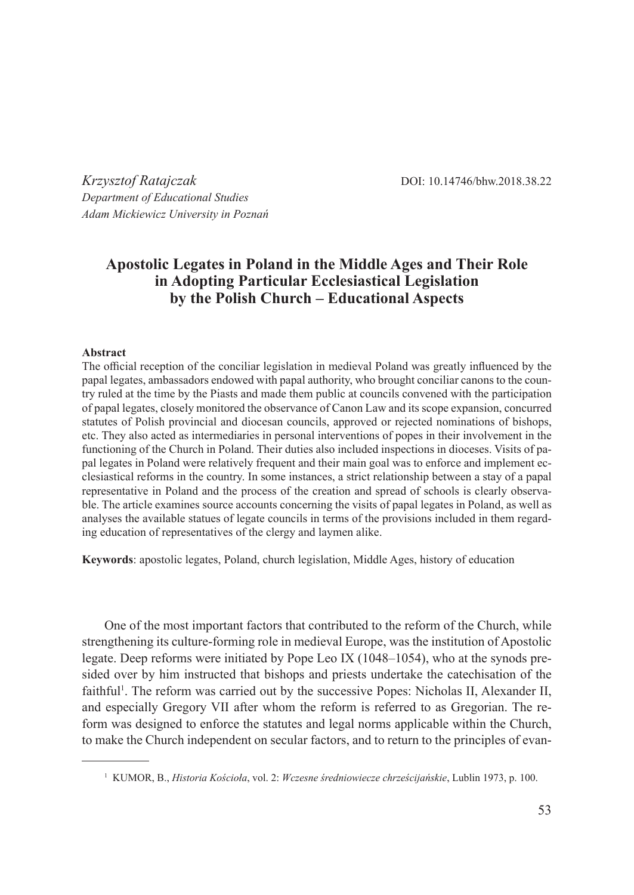*Krzysztof Ratajczak* DOI: 10.14746/bhw.2018.38.22 *Department of Educational Studies Adam Mickiewicz University in Poznań*

# **Apostolic Legates in Poland in the Middle Ages and Their Role in Adopting Particular Ecclesiastical Legislation by the Polish Church – Educational Aspects**

#### **Abstract**

The official reception of the conciliar legislation in medieval Poland was greatly influenced by the papal legates, ambassadors endowed with papal authority, who brought conciliar canons to the country ruled at the time by the Piasts and made them public at councils convened with the participation of papal legates, closely monitored the observance of Canon Law and its scope expansion, concurred statutes of Polish provincial and diocesan councils, approved or rejected nominations of bishops, etc. They also acted as intermediaries in personal interventions of popes in their involvement in the functioning of the Church in Poland. Their duties also included inspections in dioceses. Visits of papal legates in Poland were relatively frequent and their main goal was to enforce and implement ecclesiastical reforms in the country. In some instances, a strict relationship between a stay of a papal representative in Poland and the process of the creation and spread of schools is clearly observable. The article examines source accounts concerning the visits of papal legates in Poland, as well as analyses the available statues of legate councils in terms of the provisions included in them regarding education of representatives of the clergy and laymen alike.

**Keywords**: apostolic legates, Poland, church legislation, Middle Ages, history of education

One of the most important factors that contributed to the reform of the Church, while strengthening its culture-forming role in medieval Europe, was the institution of Apostolic legate. Deep reforms were initiated by Pope Leo IX (1048–1054), who at the synods presided over by him instructed that bishops and priests undertake the catechisation of the faithful<sup>1</sup>. The reform was carried out by the successive Popes: Nicholas II, Alexander II, and especially Gregory VII after whom the reform is referred to as Gregorian. The reform was designed to enforce the statutes and legal norms applicable within the Church, to make the Church independent on secular factors, and to return to the principles of evan-

<sup>1</sup> KUMOR, B., *Historia Kościoła*, vol. 2: *Wczesne średniowiecze chrześcijańskie*, Lublin 1973, p. 100.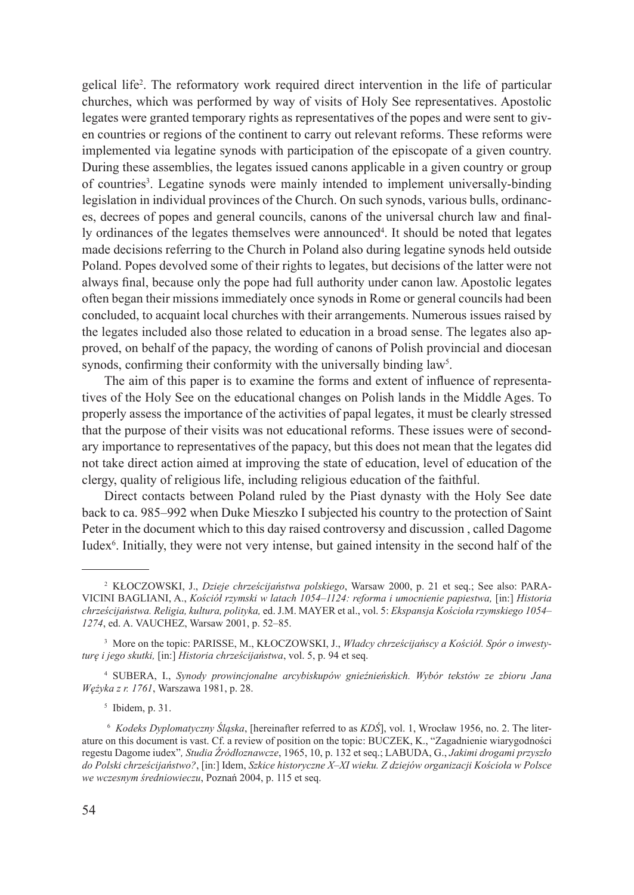gelical life<sup>2</sup> . The reformatory work required direct intervention in the life of particular churches, which was performed by way of visits of Holy See representatives. Apostolic legates were granted temporary rights as representatives of the popes and were sent to given countries or regions of the continent to carry out relevant reforms. These reforms were implemented via legatine synods with participation of the episcopate of a given country. During these assemblies, the legates issued canons applicable in a given country or group of countries<sup>3</sup>. Legatine synods were mainly intended to implement universally-binding legislation in individual provinces of the Church. On such synods, various bulls, ordinances, decrees of popes and general councils, canons of the universal church law and finally ordinances of the legates themselves were announced<sup>4</sup>. It should be noted that legates made decisions referring to the Church in Poland also during legatine synods held outside Poland. Popes devolved some of their rights to legates, but decisions of the latter were not always final, because only the pope had full authority under canon law. Apostolic legates often began their missions immediately once synods in Rome or general councils had been concluded, to acquaint local churches with their arrangements. Numerous issues raised by the legates included also those related to education in a broad sense. The legates also approved, on behalf of the papacy, the wording of canons of Polish provincial and diocesan synods, confirming their conformity with the universally binding law<sup>5</sup>.

The aim of this paper is to examine the forms and extent of influence of representatives of the Holy See on the educational changes on Polish lands in the Middle Ages. To properly assess the importance of the activities of papal legates, it must be clearly stressed that the purpose of their visits was not educational reforms. These issues were of secondary importance to representatives of the papacy, but this does not mean that the legates did not take direct action aimed at improving the state of education, level of education of the clergy, quality of religious life, including religious education of the faithful.

Direct contacts between Poland ruled by the Piast dynasty with the Holy See date back to ca. 985–992 when Duke Mieszko I subjected his country to the protection of Saint Peter in the document which to this day raised controversy and discussion , called Dagome Iudex<sup>6</sup>. Initially, they were not very intense, but gained intensity in the second half of the

<sup>4</sup> SUBERA, I., *Synody prowincjonalne arcybiskupów gnieźnieńskich. Wybór tekstów ze zbioru Jana Wężyka z r. 1761*, Warszawa 1981, p. 28.

 $<sup>5</sup>$  Ibidem, p. 31.</sup>

<sup>2</sup> KŁOCZOWSKI, J., *Dzieje chrześcijaństwa polskiego*, Warsaw 2000, p. 21 et seq.; See also: PARA-VICINI BAGLIANI, A., *Kościół rzymski w latach 1054–1124: reforma i umocnienie papiestwa,* [in:] *Historia chrześcijaństwa. Religia, kultura, polityka,* ed. J.M. MAYER et al., vol. 5: *Ekspansja Kościoła rzymskiego 1054– 1274*, ed. A. VAUCHEZ, Warsaw 2001, p. 52–85.

<sup>3</sup> More on the topic: PARISSE, M., KŁOCZOWSKI, J., *Władcy chrześcijańscy a Kościół. Spór o inwestyturę i jego skutki,* [in:] *Historia chrześcijaństwa*, vol. 5, p. 94 et seq.

<sup>6</sup> *Kodeks Dyplomatyczny Śląska*, [hereinafter referred to as *KDŚ*], vol. 1, Wrocław 1956, no. 2. The literature on this document is vast. Cf. a review of position on the topic: BUCZEK, K., "Zagadnienie wiarygodności regestu Dagome iudex"*, Studia Źródłoznawcze*, 1965, 10, p. 132 et seq.; LABUDA, G., *Jakimi drogami przyszło do Polski chrześcijaństwo?*, [in:] Idem, *Szkice historyczne X–XI wieku. Z dziejów organizacji Kościoła w Polsce we wczesnym średniowieczu*, Poznań 2004, p. 115 et seq.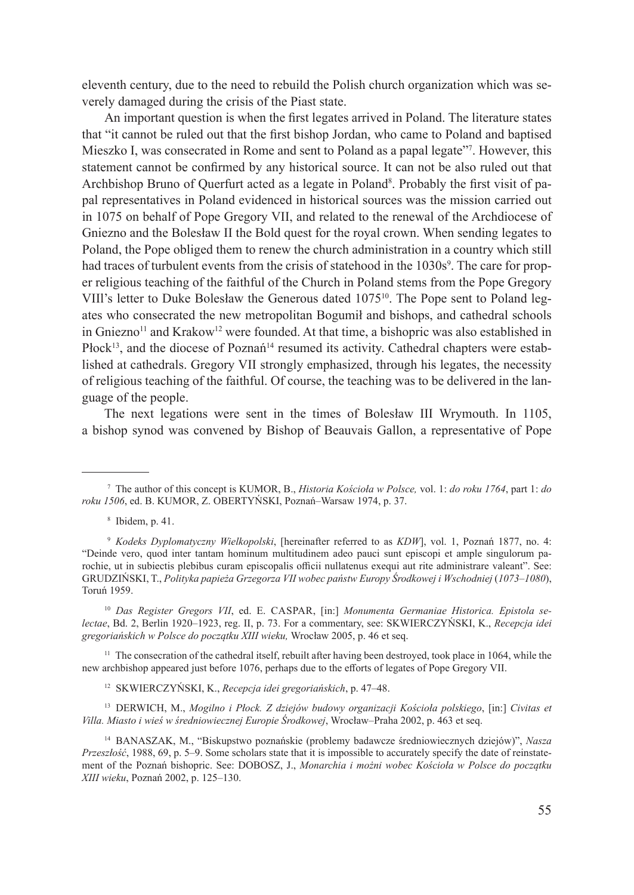eleventh century, due to the need to rebuild the Polish church organization which was severely damaged during the crisis of the Piast state.

An important question is when the first legates arrived in Poland. The literature states that "it cannot be ruled out that the first bishop Jordan, who came to Poland and baptised Mieszko I, was consecrated in Rome and sent to Poland as a papal legate"7 . However, this statement cannot be confirmed by any historical source. It can not be also ruled out that Archbishop Bruno of Querfurt acted as a legate in Poland<sup>8</sup>. Probably the first visit of papal representatives in Poland evidenced in historical sources was the mission carried out in 1075 on behalf of Pope Gregory VII, and related to the renewal of the Archdiocese of Gniezno and the Bolesław II the Bold quest for the royal crown. When sending legates to Poland, the Pope obliged them to renew the church administration in a country which still had traces of turbulent events from the crisis of statehood in the 1030s<sup>9</sup>. The care for proper religious teaching of the faithful of the Church in Poland stems from the Pope Gregory VIIl's letter to Duke Bolesław the Generous dated 107510. The Pope sent to Poland legates who consecrated the new metropolitan Bogumił and bishops, and cathedral schools in Gniezno<sup>11</sup> and Krakow<sup>12</sup> were founded. At that time, a bishopric was also established in Płock<sup>13</sup>, and the diocese of Poznań<sup>14</sup> resumed its activity. Cathedral chapters were established at cathedrals. Gregory VII strongly emphasized, through his legates, the necessity of religious teaching of the faithful. Of course, the teaching was to be delivered in the language of the people.

The next legations were sent in the times of Bolesław III Wrymouth. In 1105, a bishop synod was convened by Bishop of Beauvais Gallon, a representative of Pope

<sup>11</sup> The consecration of the cathedral itself, rebuilt after having been destroyed, took place in 1064, while the new archbishop appeared just before 1076, perhaps due to the efforts of legates of Pope Gregory VII.

<sup>12</sup> SKWIERCZYŃSKI, K., *Recepcja idei gregoriańskich*, p. 47–48.

<sup>13</sup> DERWICH, M., *Mogilno i Płock. Z dziejów budowy organizacji Kościoła polskiego*, [in:] *Civitas et Villa. Miasto i wieś w średniowiecznej Europie Środkowej*, Wrocław–Praha 2002, p. 463 et seq.

<sup>7</sup> The author of this concept is KUMOR, B., *Historia Kościoła w Polsce,* vol. 1: *do roku 1764*, part 1: *do roku 1506*, ed. B. KUMOR, Z. OBERTYŃSKI, Poznań–Warsaw 1974, p. 37.

<sup>8</sup> Ibidem, p. 41.

<sup>9</sup> *Kodeks Dyplomatyczny Wielkopolski*, [hereinafter referred to as *KDW*], vol. 1, Poznań 1877, no. 4: "Deinde vero, quod inter tantam hominum multitudinem adeo pauci sunt episcopi et ample singulorum parochie, ut in subiectis plebibus curam episcopalis officii nullatenus exequi aut rite administrare valeant". See: GRUDZIŃSKI, T., Polityka papieża Grzegorza VII wobec państw Europy Środkowej i Wschodniej (1073–1080), Toruń 1959.

<sup>&</sup>lt;sup>10</sup> Das Register Gregors VII, ed. E. CASPAR, [in:] Monumenta Germaniae Historica. Epistola se*lectae*, Bd. 2, Berlin 1920–1923, reg. II, p. 73. For a commentary, see: SKWIERCZYŃSKI, K., *Recepcja idei gregoriańskich w Polsce do początku XIII wieku,* Wrocław 2005, p. 46 et seq.

<sup>14</sup> BANASZAK, M., "Biskupstwo poznańskie (problemy badawcze średniowiecznych dziejów)", *Nasza Przeszłość*, 1988, 69, p. 5–9. Some scholars state that it is impossible to accurately specify the date of reinstatement of the Poznań bishopric. See: DOBOSZ, J., *Monarchia i możni wobec Kościoła w Polsce do początku XIII wieku*, Poznań 2002, p. 125–130.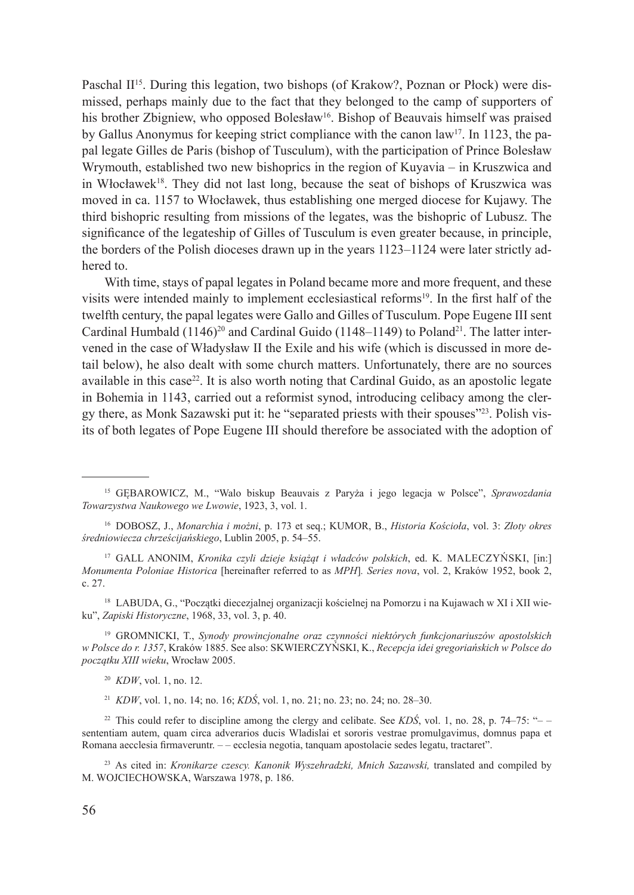Paschal  $\mathbb{H}^{15}$ . During this legation, two bishops (of Krakow?, Poznan or Płock) were dismissed, perhaps mainly due to the fact that they belonged to the camp of supporters of his brother Zbigniew, who opposed Bolesław<sup>16</sup>. Bishop of Beauvais himself was praised by Gallus Anonymus for keeping strict compliance with the canon law<sup>17</sup>. In 1123, the papal legate Gilles de Paris (bishop of Tusculum), with the participation of Prince Bolesław Wrymouth, established two new bishoprics in the region of Kuyavia – in Kruszwica and in Włocławek<sup>18</sup>. They did not last long, because the seat of bishops of Kruszwica was moved in ca. 1157 to Włocławek, thus establishing one merged diocese for Kujawy. The third bishopric resulting from missions of the legates, was the bishopric of Lubusz. The significance of the legateship of Gilles of Tusculum is even greater because, in principle, the borders of the Polish dioceses drawn up in the years 1123–1124 were later strictly adhered to.

With time, stays of papal legates in Poland became more and more frequent, and these visits were intended mainly to implement ecclesiastical reforms<sup>19</sup>. In the first half of the twelfth century, the papal legates were Gallo and Gilles of Tusculum. Pope Eugene III sent Cardinal Humbald (1146)<sup>20</sup> and Cardinal Guido (1148–1149) to Poland<sup>21</sup>. The latter intervened in the case of Władysław II the Exile and his wife (which is discussed in more detail below), he also dealt with some church matters. Unfortunately, there are no sources available in this case<sup>22</sup>. It is also worth noting that Cardinal Guido, as an apostolic legate in Bohemia in 1143, carried out a reformist synod, introducing celibacy among the clergy there, as Monk Sazawski put it: he "separated priests with their spouses"23. Polish visits of both legates of Pope Eugene III should therefore be associated with the adoption of

<sup>17</sup> GALL ANONIM, *Kronika czyli dzieje książąt i władców polskich*, ed. K. MALECZYŃSKI, [in:] *Monumenta Poloniae Historica* [hereinafter referred to as *MPH*]*. Series nova*, vol. 2, Kraków 1952, book 2, c. 27.

<sup>18</sup> LABUDA, G., "Początki diecezjalnej organizacji kościelnej na Pomorzu i na Kujawach w XI i XII wieku", *Zapiski Historyczne*, 1968, 33, vol. 3, p. 40.

<sup>19</sup> GROMNICKI, T., *Synody prowincjonalne oraz czynności niektórych funkcjonariuszów apostolskich w Polsce do r. 1357*, Kraków 1885. See also: SKWIERCZYŃSKI, K., *Recepcja idei gregoriańskich w Polsce do początku XIII wieku*, Wrocław 2005.

<sup>20</sup> *KDW*, vol. 1, no. 12.

<sup>21</sup> *KDW*, vol. 1, no. 14; no. 16; *KDŚ*, vol. 1, no. 21; no. 23; no. 24; no. 28–30.

<sup>22</sup> This could refer to discipline among the clergy and celibate. See *KDŚ*, vol. 1, no. 28, p. 74–75: " $$ sententiam autem, quam circa adverarios ducis Wladislai et sororis vestrae promulgavimus, domnus papa et Romana aecclesia firmaveruntr. – – ecclesia negotia, tanquam apostolacie sedes legatu, tractaret".

<sup>23</sup> As cited in: *Kronikarze czescy. Kanonik Wyszehradzki, Mnich Sazawski,* translated and compiled by M. WOJCIECHOWSKA, Warszawa 1978, p. 186.

<sup>15</sup> GĘBAROWICZ, M., "Walo biskup Beauvais z Paryża i jego legacja w Polsce", *Sprawozdania Towarzystwa Naukowego we Lwowie*, 1923, 3, vol. 1.

<sup>16</sup> DOBOSZ, J., *Monarchia i możni*, p. 173 et seq.; KUMOR, B., *Historia Kościoła*, vol. 3: *Złoty okres średniowiecza chrześcijańskiego*, Lublin 2005, p. 54–55.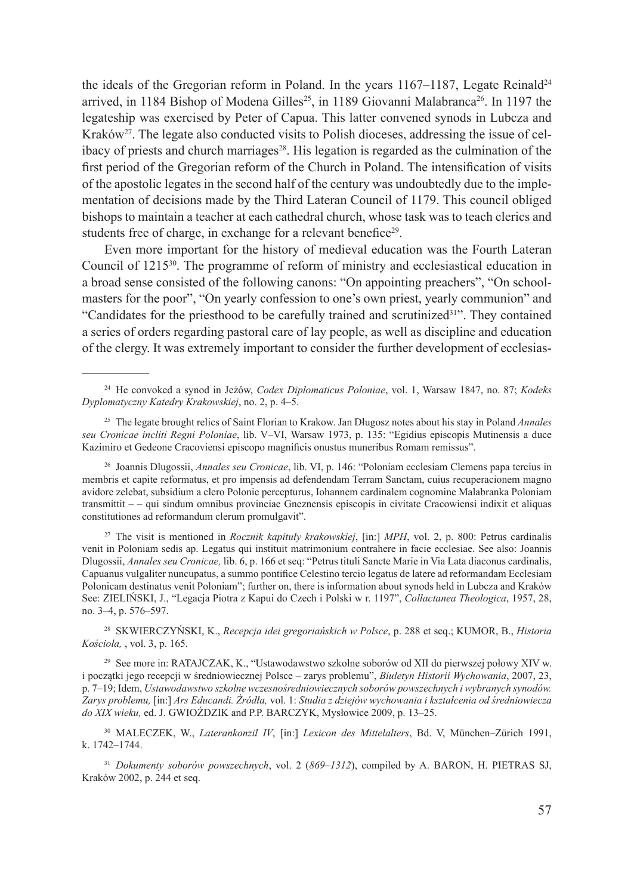the ideals of the Gregorian reform in Poland. In the years 1167–1187, Legate Reinald<sup>24</sup> arrived, in 1184 Bishop of Modena Gilles<sup>25</sup>, in 1189 Giovanni Malabranca<sup>26</sup>. In 1197 the legateship was exercised by Peter of Capua. This latter convened synods in Lubcza and Kraków<sup>27</sup>. The legate also conducted visits to Polish dioceses, addressing the issue of celibacy of priests and church marriages<sup>28</sup>. His legation is regarded as the culmination of the first period of the Gregorian reform of the Church in Poland. The intensification of visits of the apostolic legates in the second half of the century was undoubtedly due to the implementation of decisions made by the Third Lateran Council of 1179. This council obliged bishops to maintain a teacher at each cathedral church, whose task was to teach clerics and students free of charge, in exchange for a relevant benefice<sup>29</sup>.

Even more important for the history of medieval education was the Fourth Lateran Council of 121530. The programme of reform of ministry and ecclesiastical education in a broad sense consisted of the following canons: "On appointing preachers", "On schoolmasters for the poor", "On yearly confession to one's own priest, yearly communion" and "Candidates for the priesthood to be carefully trained and scrutinized31". They contained a series of orders regarding pastoral care of lay people, as well as discipline and education of the clergy. It was extremely important to consider the further development of ecclesias-

<sup>27</sup> The visit is mentioned in *Rocznik kapituły krakowskiej*, [in:] *MPH*, vol. 2, p. 800: Petrus cardinalis venit in Poloniam sedis ap. Legatus qui instituit matrimonium contrahere in facie ecclesiae. See also: Joannis Dlugossii, *Annales seu Cronicae,* lib. 6, p. 166 et seq: "Petrus tituli Sancte Marie in Via Lata diaconus cardinalis, Capuanus vulgaliter nuncupatus, a summo pontifice Celestino tercio legatus de latere ad reformandam Ecclesiam Polonicam destinatus venit Poloniam"; further on, there is information about synods held in Lubcza and Kraków See: ZIELIŃSKI, J., "Legacja Piotra z Kapui do Czech i Polski w r. 1197", *Collactanea Theologica*, 1957, 28, no. 3–4, p. 576–597.

<sup>28</sup> SKWIERCZYŃSKI, K., *Recepcja idei gregoriańskich w Polsce*, p. 288 et seq.; KUMOR, B., *Historia Kościoła,* , vol. 3, p. 165.

<sup>29</sup> See more in: RATAJCZAK, K., "Ustawodawstwo szkolne soborów od XII do pierwszej połowy XIV w. i początki jego recepcji w średniowiecznej Polsce – zarys problemu", *Biuletyn Historii Wychowania*, 2007, 23, p. 7–19; Idem, *Ustawodawstwo szkolne wczesnośredniowiecznych soborów powszechnych i wybranych synodów. Zarys problemu,* [in:] *Ars Educandi. Źródła,* vol. 1: *Studia z dziejów wychowania i kształcenia od średniowiecza do XIX wieku,* ed. J. GWIOŹDZIK and P.P. BARCZYK, Mysłowice 2009, p. 13–25.

<sup>24</sup> He convoked a synod in Jeżów, *Codex Diplomaticus Poloniae*, vol. 1, Warsaw 1847, no. 87; *Kodeks Dyplomatyczny Katedry Krakowskiej*, no. 2, p. 4–5.

<sup>25</sup> The legate brought relics of Saint Florian to Krakow. Jan Długosz notes about his stay in Poland *Annales seu Cronicae incliti Regni Poloniae*, lib. V–VI, Warsaw 1973, p. 135: "Egidius episcopis Mutinensis a duce Kazimiro et Gedeone Cracoviensi episcopo magnificis onustus muneribus Romam remissus".

<sup>26</sup> Joannis Dlugossii, *Annales seu Cronicae*, lib. VI, p. 146: "Poloniam ecclesiam Clemens papa tercius in membris et capite reformatus, et pro impensis ad defendendam Terram Sanctam, cuius recuperacionem magno avidore zelebat, subsidium a clero Polonie percepturus, Iohannem cardinalem cognomine Malabranka Poloniam transmittit – – qui sindum omnibus provinciae Gneznensis episcopis in civitate Cracowiensi indixit et aliquas constitutiones ad reformandum clerum promulgavit".

<sup>30</sup> MALECZEK, W., *Laterankonzil IV*, [in:] *Lexicon des Mittelalters*, Bd. V, München–Zürich 1991, k. 1742–1744.

<sup>31</sup> *Dokumenty soborów powszechnych*, vol. 2 (*869–1312*), compiled by A. BARON, H. PIETRAS SJ, Kraków 2002, p. 244 et seq.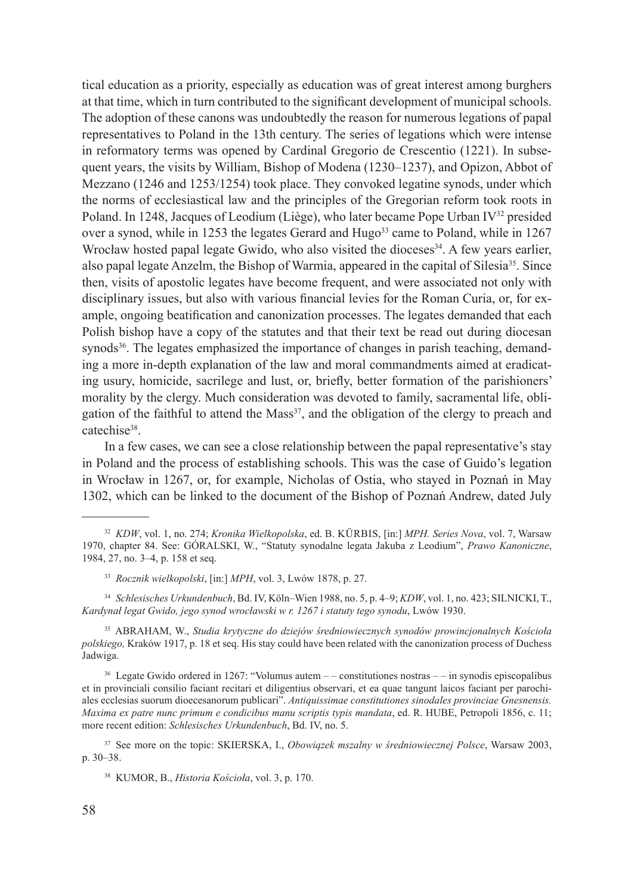tical education as a priority, especially as education was of great interest among burghers at that time, which in turn contributed to the significant development of municipal schools. The adoption of these canons was undoubtedly the reason for numerous legations of papal representatives to Poland in the 13th century. The series of legations which were intense in reformatory terms was opened by Cardinal Gregorio de Crescentio (1221). In subsequent years, the visits by William, Bishop of Modena (1230–1237), and Opizon, Abbot of Mezzano (1246 and 1253/1254) took place. They convoked legatine synods, under which the norms of ecclesiastical law and the principles of the Gregorian reform took roots in Poland. In 1248, Jacques of Leodium (Liège), who later became Pope Urban IV<sup>32</sup> presided over a synod, while in 1253 the legates Gerard and Hugo<sup>33</sup> came to Poland, while in 1267 Wrocław hosted papal legate Gwido, who also visited the dioceses  $34$ . A few years earlier, also papal legate Anzelm, the Bishop of Warmia, appeared in the capital of Silesia<sup>35</sup>. Since then, visits of apostolic legates have become frequent, and were associated not only with disciplinary issues, but also with various financial levies for the Roman Curia, or, for example, ongoing beatification and canonization processes. The legates demanded that each Polish bishop have a copy of the statutes and that their text be read out during diocesan synods<sup>36</sup>. The legates emphasized the importance of changes in parish teaching, demanding a more in-depth explanation of the law and moral commandments aimed at eradicating usury, homicide, sacrilege and lust, or, briefly, better formation of the parishioners' morality by the clergy. Much consideration was devoted to family, sacramental life, obligation of the faithful to attend the Mass $37$ , and the obligation of the clergy to preach and catechise<sup>38</sup>.

In a few cases, we can see a close relationship between the papal representative's stay in Poland and the process of establishing schools. This was the case of Guido's legation in Wrocław in 1267, or, for example, Nicholas of Ostia, who stayed in Poznań in May 1302, which can be linked to the document of the Bishop of Poznań Andrew, dated July

<sup>34</sup> *Schlesisches Urkundenbuch*, Bd. IV, Köln–Wien 1988, no. 5, p. 4–9; *KDW*, vol. 1, no. 423; SILNICKI, T., *Kardynał legat Gwido, jego synod wrocławski w r. 1267 i statuty tego synodu*, Lwów 1930.

<sup>35</sup> ABRAHAM, W., *Studia krytyczne do dziejów średniowiecznych synodów prowincjonalnych Kościoła polskiego,* Kraków 1917, p. 18 et seq. His stay could have been related with the canonization process of Duchess Jadwiga.

 $36$  Legate Gwido ordered in 1267: "Volumus autem  $-$  constitutiones nostras  $-$  in synodis episcopalibus et in provinciali consilio faciant recitari et diligentius observari, et ea quae tangunt laicos faciant per parochiales ecclesias suorum dioecesanorum publicari". *Antiquissimae constitutiones sinodales provinciae Gnesnensis. Maxima ex patre nunc primum e condicibus manu scriptis typis mandata*, ed. R. HUBE, Petropoli 1856, c. 11; more recent edition: *Schlesisches Urkundenbuch*, Bd. IV, no. 5.

<sup>37</sup> See more on the topic: SKIERSKA, I., *Obowiązek mszalny w średniowiecznej Polsce*, Warsaw 2003, p. 30–38.

<sup>32</sup> *KDW*, vol. 1, no. 274; *Kronika Wielkopolska*, ed. B. Kürbis, [in:] *MPH. Series Nova*, vol. 7, Warsaw 1970, chapter 84. See: GÓRALSKI, W., "Statuty synodalne legata Jakuba z Leodium", *Prawo Kanoniczne*, 1984, 27, no. 3–4, p. 158 et seq.

<sup>33</sup> *Rocznik wielkopolski*, [in:] *MPH*, vol. 3, Lwów 1878, p. 27.

<sup>38</sup> KUMOR, B., *Historia Kościoła*, vol. 3, p. 170.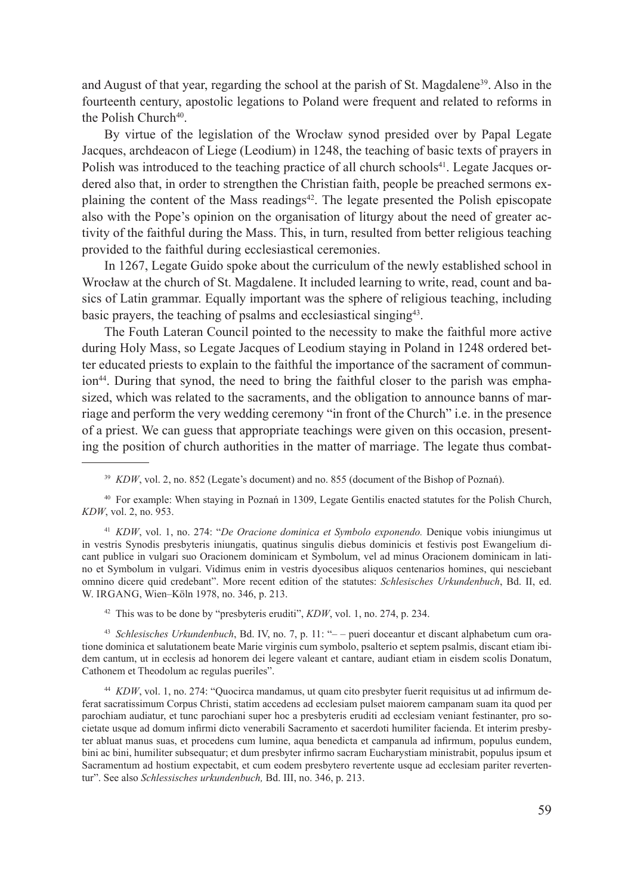and August of that year, regarding the school at the parish of St. Magdalene<sup>39</sup>. Also in the fourteenth century, apostolic legations to Poland were frequent and related to reforms in the Polish Church<sup>40</sup>.

By virtue of the legislation of the Wrocław synod presided over by Papal Legate Jacques, archdeacon of Liege (Leodium) in 1248, the teaching of basic texts of prayers in Polish was introduced to the teaching practice of all church schools<sup>41</sup>. Legate Jacques ordered also that, in order to strengthen the Christian faith, people be preached sermons explaining the content of the Mass readings $42$ . The legate presented the Polish episcopate also with the Pope's opinion on the organisation of liturgy about the need of greater activity of the faithful during the Mass. This, in turn, resulted from better religious teaching provided to the faithful during ecclesiastical ceremonies.

In 1267, Legate Guido spoke about the curriculum of the newly established school in Wrocław at the church of St. Magdalene. It included learning to write, read, count and basics of Latin grammar. Equally important was the sphere of religious teaching, including basic prayers, the teaching of psalms and ecclesiastical singing43.

The Fouth Lateran Council pointed to the necessity to make the faithful more active during Holy Mass, so Legate Jacques of Leodium staying in Poland in 1248 ordered better educated priests to explain to the faithful the importance of the sacrament of communion<sup>44</sup>. During that synod, the need to bring the faithful closer to the parish was emphasized, which was related to the sacraments, and the obligation to announce banns of marriage and perform the very wedding ceremony "in front of the Church" i.e. in the presence of a priest. We can guess that appropriate teachings were given on this occasion, presenting the position of church authorities in the matter of marriage. The legate thus combat-

<sup>40</sup> For example: When staying in Poznań in 1309, Legate Gentilis enacted statutes for the Polish Church, *KDW*, vol. 2, no. 953.

<sup>41</sup> *KDW*, vol. 1, no. 274: "*De Oracione dominica et Symbolo exponendo.* Denique vobis iniungimus ut in vestris Synodis presbyteris iniungatis, quatinus singulis diebus dominicis et festivis post Ewangelium dicant publice in vulgari suo Oracionem dominicam et Symbolum, vel ad minus Oracionem dominicam in latino et Symbolum in vulgari. Vidimus enim in vestris dyocesibus aliquos centenarios homines, qui nesciebant omnino dicere quid credebant". More recent edition of the statutes: *Schlesisches Urkundenbuch*, Bd. II, ed. W. IRGANG, Wien–Köln 1978, no. 346, p. 213.

<sup>42</sup> This was to be done by "presbyteris eruditi", *KDW*, vol. 1, no. 274, p. 234.

<sup>43</sup> *Schlesisches Urkundenbuch*, Bd. IV, no. 7, p. 11: "– – pueri doceantur et discant alphabetum cum oratione dominica et salutationem beate Marie virginis cum symbolo, psalterio et septem psalmis, discant etiam ibidem cantum, ut in ecclesis ad honorem dei legere valeant et cantare, audiant etiam in eisdem scolis Donatum, Cathonem et Theodolum ac regulas pueriles".

<sup>44</sup> *KDW*, vol. 1, no. 274: "Quocirca mandamus, ut quam cito presbyter fuerit requisitus ut ad infirmum deferat sacratissimum Corpus Christi, statim accedens ad ecclesiam pulset maiorem campanam suam ita quod per parochiam audiatur, et tunc parochiani super hoc a presbyteris eruditi ad ecclesiam veniant festinanter, pro societate usque ad domum infirmi dicto venerabili Sacramento et sacerdoti humiliter facienda. Et interim presbyter abluat manus suas, et procedens cum lumine, aqua benedicta et campanula ad infirmum, populus eundem, bini ac bini, humiliter subsequatur; et dum presbyter infirmo sacram Eucharystiam ministrabit, populus ipsum et Sacramentum ad hostium expectabit, et cum eodem presbytero revertente usque ad ecclesiam pariter revertentur". See also *Schlessisches urkundenbuch,* Bd. III, no. 346, p. 213.

<sup>&</sup>lt;sup>39</sup> *KDW*, vol. 2, no. 852 (Legate's document) and no. 855 (document of the Bishop of Poznań).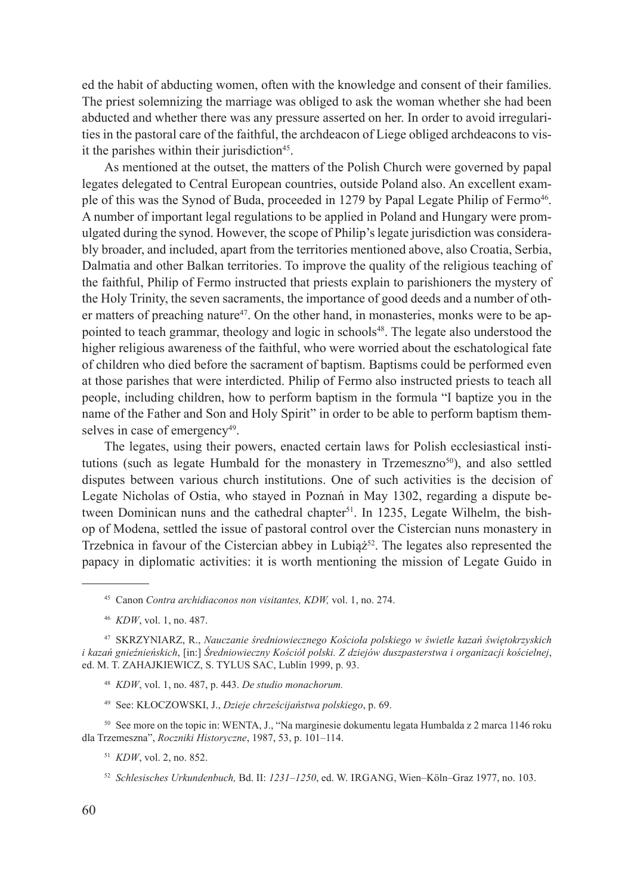ed the habit of abducting women, often with the knowledge and consent of their families. The priest solemnizing the marriage was obliged to ask the woman whether she had been abducted and whether there was any pressure asserted on her. In order to avoid irregularities in the pastoral care of the faithful, the archdeacon of Liege obliged archdeacons to visit the parishes within their jurisdiction<sup>45</sup>.

As mentioned at the outset, the matters of the Polish Church were governed by papal legates delegated to Central European countries, outside Poland also. An excellent example of this was the Synod of Buda, proceeded in 1279 by Papal Legate Philip of Fermo<sup>46</sup>. A number of important legal regulations to be applied in Poland and Hungary were promulgated during the synod. However, the scope of Philip's legate jurisdiction was considerably broader, and included, apart from the territories mentioned above, also Croatia, Serbia, Dalmatia and other Balkan territories. To improve the quality of the religious teaching of the faithful, Philip of Fermo instructed that priests explain to parishioners the mystery of the Holy Trinity, the seven sacraments, the importance of good deeds and a number of other matters of preaching nature<sup>47</sup>. On the other hand, in monasteries, monks were to be appointed to teach grammar, theology and logic in schools<sup>48</sup>. The legate also understood the higher religious awareness of the faithful, who were worried about the eschatological fate of children who died before the sacrament of baptism. Baptisms could be performed even at those parishes that were interdicted. Philip of Fermo also instructed priests to teach all people, including children, how to perform baptism in the formula "I baptize you in the name of the Father and Son and Holy Spirit" in order to be able to perform baptism themselves in case of emergency<sup>49</sup>.

The legates, using their powers, enacted certain laws for Polish ecclesiastical institutions (such as legate Humbald for the monastery in Trzemeszno<sup>50</sup>), and also settled disputes between various church institutions. One of such activities is the decision of Legate Nicholas of Ostia, who stayed in Poznań in May 1302, regarding a dispute between Dominican nuns and the cathedral chapter<sup>51</sup>. In 1235, Legate Wilhelm, the bishop of Modena, settled the issue of pastoral control over the Cistercian nuns monastery in Trzebnica in favour of the Cistercian abbey in Lubia $\dot{z}^{52}$ . The legates also represented the papacy in diplomatic activities: it is worth mentioning the mission of Legate Guido in

- <sup>48</sup> *KDW*, vol. 1, no. 487, p. 443. *De studio monachorum.*
- <sup>49</sup> See: KŁOCZOWSKI, J., *Dzieje chrześcijaństwa polskiego*, p. 69.

<sup>50</sup> See more on the topic in: WENTA, J., "Na marginesie dokumentu legata Humbalda z 2 marca 1146 roku dla Trzemeszna", *Roczniki Historyczne*, 1987, 53, p. 101–114.

<sup>51</sup> *KDW*, vol. 2, no. 852.

<sup>45</sup> Canon *Contra archidiaconos non visitantes, KDW,* vol. 1, no. 274.

<sup>46</sup> *KDW*, vol. 1, no. 487.

<sup>47</sup> SKRZYNIARZ, R., *Nauczanie średniowiecznego Kościoła polskiego w świetle kazań świętokrzyskich i kazań gnieźnieńskich*, [in:] *Średniowieczny Kościół polski. Z dziejów duszpasterstwa i organizacji kościelnej*, ed. M. T. ZAHAJKIEWICZ, S. TYLUS SAC, Lublin 1999, p. 93.

<sup>52</sup> *Schlesisches Urkundenbuch, Bd. II: 1231–1250, ed. W. IRGANG, Wien–Köln–Graz 1977, no. 103.*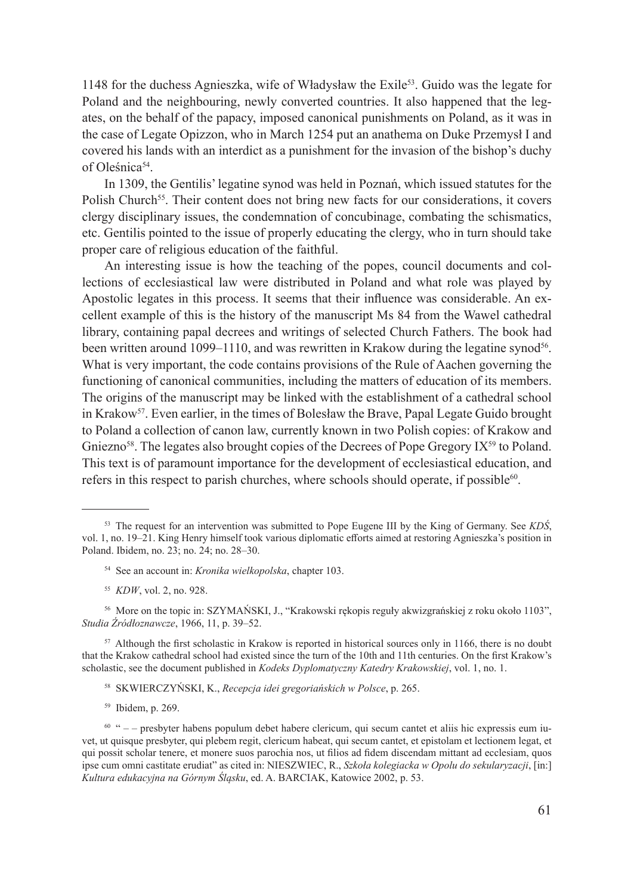1148 for the duchess Agnieszka, wife of Władysław the Exile53. Guido was the legate for Poland and the neighbouring, newly converted countries. It also happened that the legates, on the behalf of the papacy, imposed canonical punishments on Poland, as it was in the case of Legate Opizzon, who in March 1254 put an anathema on Duke Przemysł I and covered his lands with an interdict as a punishment for the invasion of the bishop's duchy of Oleśnica<sup>54</sup>.

In 1309, the Gentilis' legatine synod was held in Poznań, which issued statutes for the Polish Church<sup>55</sup>. Their content does not bring new facts for our considerations, it covers clergy disciplinary issues, the condemnation of concubinage, combating the schismatics, etc. Gentilis pointed to the issue of properly educating the clergy, who in turn should take proper care of religious education of the faithful.

An interesting issue is how the teaching of the popes, council documents and collections of ecclesiastical law were distributed in Poland and what role was played by Apostolic legates in this process. It seems that their influence was considerable. An excellent example of this is the history of the manuscript Ms 84 from the Wawel cathedral library, containing papal decrees and writings of selected Church Fathers. The book had been written around 1099–1110, and was rewritten in Krakow during the legatine synod<sup>56</sup>. What is very important, the code contains provisions of the Rule of Aachen governing the functioning of canonical communities, including the matters of education of its members. The origins of the manuscript may be linked with the establishment of a cathedral school in Krakow<sup>57</sup>. Even earlier, in the times of Bolesław the Brave, Papal Legate Guido brought to Poland a collection of canon law, currently known in two Polish copies: of Krakow and Gniezno<sup>58</sup>. The legates also brought copies of the Decrees of Pope Gregory IX<sup>59</sup> to Poland. This text is of paramount importance for the development of ecclesiastical education, and refers in this respect to parish churches, where schools should operate, if possible $60$ .

- <sup>54</sup> See an account in: *Kronika wielkopolska*, chapter 103.
- <sup>55</sup> *KDW*, vol. 2, no. 928.

<sup>56</sup> More on the topic in: SZYMAŃSKI, J., "Krakowski rękopis reguły akwizgrańskiej z roku około 1103", *Studia Źródłoznawcze*, 1966, 11, p. 39–52.

<sup>57</sup> Although the first scholastic in Krakow is reported in historical sources only in 1166, there is no doubt that the Krakow cathedral school had existed since the turn of the 10th and 11th centuries. On the first Krakow's scholastic, see the document published in *Kodeks Dyplomatyczny Katedry Krakowskiej*, vol. 1, no. 1.

- <sup>58</sup> SKWIERCZYŃSKI, K., *Recepcja idei gregoriańskich w Polsce*, p. 265.
- <sup>59</sup> Ibidem, p. 269.

<sup>53</sup> The request for an intervention was submitted to Pope Eugene III by the King of Germany. See *KDŚ*, vol. 1, no. 19–21. King Henry himself took various diplomatic efforts aimed at restoring Agnieszka's position in Poland. Ibidem, no. 23; no. 24; no. 28–30.

<sup>60</sup> " – – presbyter habens populum debet habere clericum, qui secum cantet et aliis hic expressis eum iuvet, ut quisque presbyter, qui plebem regit, clericum habeat, qui secum cantet, et epistolam et lectionem legat, et qui possit scholar tenere, et monere suos parochia nos, ut filios ad fidem discendam mittant ad ecclesiam, quos ipse cum omni castitate erudiat" as cited in: NIESZWIEC, R., *Szkoła kolegiacka w Opolu do sekularyzacji*, [in:] *Kultura edukacyjna na Górnym Śląsku*, ed. A. BARCIAK, Katowice 2002, p. 53.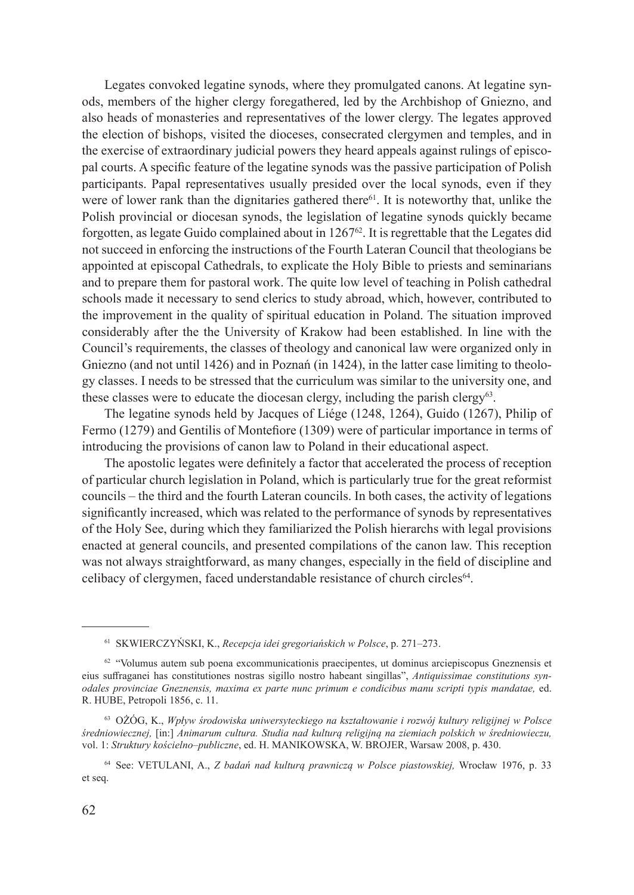Legates convoked legatine synods, where they promulgated canons. At legatine synods, members of the higher clergy foregathered, led by the Archbishop of Gniezno, and also heads of monasteries and representatives of the lower clergy. The legates approved the election of bishops, visited the dioceses, consecrated clergymen and temples, and in the exercise of extraordinary judicial powers they heard appeals against rulings of episcopal courts. A specific feature of the legatine synods was the passive participation of Polish participants. Papal representatives usually presided over the local synods, even if they were of lower rank than the dignitaries gathered there<sup>61</sup>. It is noteworthy that, unlike the Polish provincial or diocesan synods, the legislation of legatine synods quickly became forgotten, as legate Guido complained about in  $1267<sup>62</sup>$ . It is regrettable that the Legates did not succeed in enforcing the instructions of the Fourth Lateran Council that theologians be appointed at episcopal Cathedrals, to explicate the Holy Bible to priests and seminarians and to prepare them for pastoral work. The quite low level of teaching in Polish cathedral schools made it necessary to send clerics to study abroad, which, however, contributed to the improvement in the quality of spiritual education in Poland. The situation improved considerably after the the University of Krakow had been established. In line with the Council's requirements, the classes of theology and canonical law were organized only in Gniezno (and not until 1426) and in Poznań (in 1424), in the latter case limiting to theology classes. I needs to be stressed that the curriculum was similar to the university one, and these classes were to educate the diocesan clergy, including the parish clergy<sup>63</sup>.

The legatine synods held by Jacques of Liége (1248, 1264), Guido (1267), Philip of Fermo (1279) and Gentilis of Montefiore (1309) were of particular importance in terms of introducing the provisions of canon law to Poland in their educational aspect.

The apostolic legates were definitely a factor that accelerated the process of reception of particular church legislation in Poland, which is particularly true for the great reformist councils – the third and the fourth Lateran councils. In both cases, the activity of legations significantly increased, which was related to the performance of synods by representatives of the Holy See, during which they familiarized the Polish hierarchs with legal provisions enacted at general councils, and presented compilations of the canon law. This reception was not always straightforward, as many changes, especially in the field of discipline and celibacy of clergymen, faced understandable resistance of church circles<sup>64</sup>.

<sup>61</sup> SKWIERCZYŃSKI, K., *Recepcja idei gregoriańskich w Polsce*, p. 271–273.

<sup>62</sup> "Volumus autem sub poena excommunicationis praecipentes, ut dominus arciepiscopus Gneznensis et eius suffraganei has constitutiones nostras sigillo nostro habeant singillas", *Antiquissimae constitutions synodales provinciae Gneznensis, maxima ex parte nunc primum e condicibus manu scripti typis mandatae,* ed. R. HUBE, Petropoli 1856, c. 11.

<sup>63</sup> OŻÓG, K., *Wpływ środowiska uniwersyteckiego na kształtowanie i rozwój kultury religijnej w Polsce średniowiecznej,* [in:] *Animarum cultura. Studia nad kulturą religijną na ziemiach polskich w średniowieczu,*  vol. 1: *Struktury kościelno–publiczne*, ed. H. MANIKOWSKA, W. BROJER, Warsaw 2008, p. 430.

<sup>64</sup> See: VETULANI, A., *Z badań nad kulturą prawniczą w Polsce piastowskiej,* Wrocław 1976, p. 33 et seq.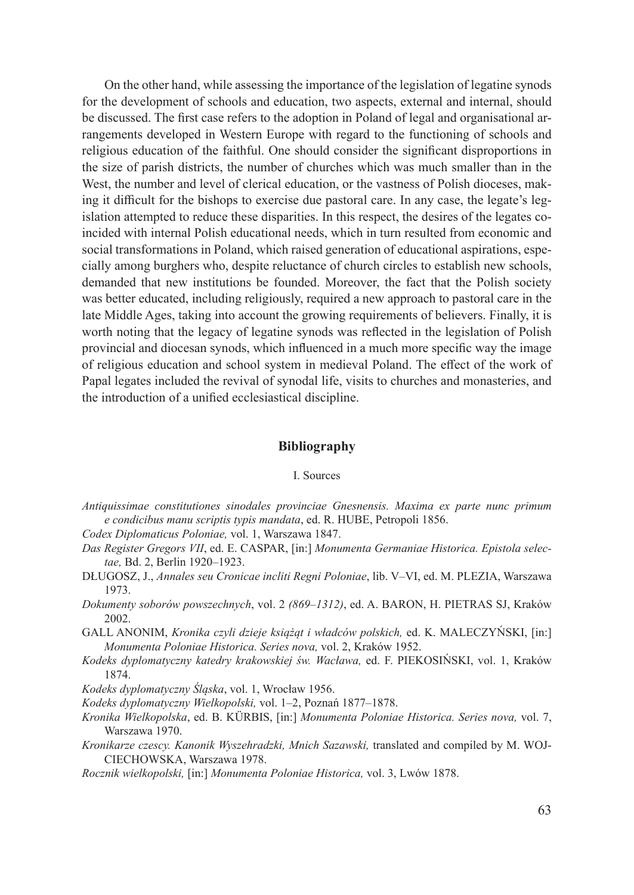On the other hand, while assessing the importance of the legislation of legatine synods for the development of schools and education, two aspects, external and internal, should be discussed. The first case refers to the adoption in Poland of legal and organisational arrangements developed in Western Europe with regard to the functioning of schools and religious education of the faithful. One should consider the significant disproportions in the size of parish districts, the number of churches which was much smaller than in the West, the number and level of clerical education, or the vastness of Polish dioceses, making it difficult for the bishops to exercise due pastoral care. In any case, the legate's legislation attempted to reduce these disparities. In this respect, the desires of the legates coincided with internal Polish educational needs, which in turn resulted from economic and social transformations in Poland, which raised generation of educational aspirations, especially among burghers who, despite reluctance of church circles to establish new schools, demanded that new institutions be founded. Moreover, the fact that the Polish society was better educated, including religiously, required a new approach to pastoral care in the late Middle Ages, taking into account the growing requirements of believers. Finally, it is worth noting that the legacy of legatine synods was reflected in the legislation of Polish provincial and diocesan synods, which influenced in a much more specific way the image of religious education and school system in medieval Poland. The effect of the work of Papal legates included the revival of synodal life, visits to churches and monasteries, and the introduction of a unified ecclesiastical discipline.

## **Bibliography**

### I. Sources

- *Antiquissimae constitutiones sinodales provinciae Gnesnensis. Maxima ex parte nunc primum e condicibus manu scriptis typis mandata*, ed. R. HUBE, Petropoli 1856.
- *Codex Diplomaticus Poloniae,* vol. 1, Warszawa 1847.
- *Das Register Gregors VII*, ed. E. CASPAR, [in:] *Monumenta Germaniae Historica. Epistola selectae,* Bd. 2, Berlin 1920–1923.
- DŁUGOSZ, J., *Annales seu Cronicae incliti Regni Poloniae*, lib. V–VI, ed. M. PLEZIA, Warszawa 1973.
- *Dokumenty soborów powszechnych*, vol. 2 *(869–1312)*, ed. A. BARON, H. PIETRAS SJ, Kraków 2002.
- GALL ANONIM, *Kronika czyli dzieje książąt i władców polskich,* ed. K. MALECZYŃSKI, [in:] *Monumenta Poloniae Historica. Series nova,* vol. 2, Kraków 1952.
- *Kodeks dyplomatyczny katedry krakowskiej św. Wacława,* ed. F. PIEKOSIŃSKI, vol. 1, Kraków 1874.
- *Kodeks dyplomatyczny Śląska*, vol. 1, Wrocław 1956.
- *Kodeks dyplomatyczny Wielkopolski,* vol. 1–2, Poznań 1877–1878.
- *Kronika Wielkopolska*, ed. B. KÜRBIS, [in:] *Monumenta Poloniae Historica. Series nova,* vol. 7, Warszawa 1970.
- *Kronikarze czescy. Kanonik Wyszehradzki, Mnich Sazawski,* translated and compiled by M. WOJ-CIECHOWSKA, Warszawa 1978.
- *Rocznik wielkopolski,* [in:] *Monumenta Poloniae Historica,* vol. 3, Lwów 1878.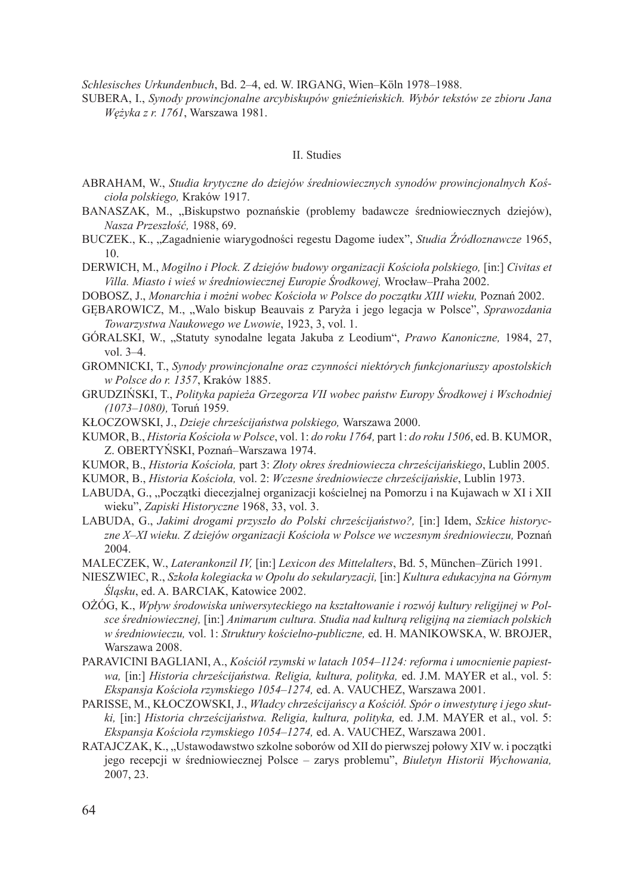*Schlesisches Urkundenbuch*, Bd. 2–4, ed. W. IRGANG, Wien–Köln 1978–1988.

SUBERA, I., *Synody prowincjonalne arcybiskupów gnieźnieńskich. Wybór tekstów ze zbioru Jana Wężyka z r. 1761*, Warszawa 1981.

#### II. Studies

- ABRAHAM, W., *Studia krytyczne do dziejów średniowiecznych synodów prowincjonalnych Kościoła polskiego,* Kraków 1917.
- BANASZAK, M., "Biskupstwo poznańskie (problemy badawcze średniowiecznych dziejów), *Nasza Przeszłość,* 1988, 69.
- BUCZEK., K., "Zagadnienie wiarygodności regestu Dagome iudex", *Studia Źródłoznawcze* 1965, 10.
- DERWICH, M., *Mogilno i Płock. Z dziejów budowy organizacji Kościoła polskiego,* [in:] *Civitas et Villa. Miasto i wieś w średniowiecznej Europie Środkowej,* Wrocław–Praha 2002.
- DOBOSZ, J., *Monarchia i możni wobec Kościoła w Polsce do początku XIII wieku,* Poznań 2002.
- GĘBAROWICZ, M., "Walo biskup Beauvais z Paryża i jego legacja w Polsce", *Sprawozdania Towarzystwa Naukowego we Lwowie*, 1923, 3, vol. 1.
- GÓRALSKI, W., "Statuty synodalne legata Jakuba z Leodium", *Prawo Kanoniczne,* 1984, 27, vol. 3–4.
- GROMNICKI, T., *Synody prowincjonalne oraz czynności niektórych funkcjonariuszy apostolskich w Polsce do r. 1357*, Kraków 1885.
- GRUDZIŃSKI, T., *Polityka papieża Grzegorza VII wobec państw Europy Środkowej i Wschodniej (1073–1080),* Toruń 1959.
- KŁOCZOWSKI, J., *Dzieje chrześcijaństwa polskiego,* Warszawa 2000.
- KUMOR, B., *Historia Kościoła w Polsce*, vol. 1: *do roku 1764,* part 1: *do roku 1506*, ed. B. KUMOR, Z. OBERTYŃSKI, Poznań–Warszawa 1974.
- KUMOR, B., *Historia Kościoła,* part 3: *Złoty okres średniowiecza chrześcijańskiego*, Lublin 2005.
- KUMOR, B., *Historia Kościoła,* vol. 2: *Wczesne średniowiecze chrześcijańskie*, Lublin 1973.
- LABUDA, G., "Początki diecezjalnej organizacji kościelnej na Pomorzu i na Kujawach w XI i XII wieku", *Zapiski Historyczne* 1968, 33, vol. 3.
- LABUDA, G., *Jakimi drogami przyszło do Polski chrześcijaństwo?*, [in:] Idem, *Szkice historyczne X–XI wieku. Z dziejów organizacji Kościoła w Polsce we wczesnym średniowieczu,* Poznań 2004.
- MALECZEK, W., *Laterankonzil IV,* [in:] *Lexicon des Mittelalters*, Bd. 5, München–Zürich 1991.
- NIESZWIEC, R., *Szkoła kolegiacka w Opolu do sekularyzacji,* [in:] *Kultura edukacyjna na Górnym Śląsku*, ed. A. BARCIAK, Katowice 2002.
- OŻÓG, K., *Wpływ środowiska uniwersyteckiego na kształtowanie i rozwój kultury religijnej w Polsce średniowiecznej,* [in:] *Animarum cultura. Studia nad kulturą religijną na ziemiach polskich w średniowieczu,* vol. 1: *Struktury kościelno-publiczne,* ed. H. MANIKOWSKA, W. BROJER, Warszawa 2008.
- PARAVICINI BAGLIANI, A., *Kościół rzymski w latach 1054–1124: reforma i umocnienie papiestwa,* [in:] *Historia chrześcijaństwa. Religia, kultura, polityka,* ed. J.M. MAYER et al., vol. 5: *Ekspansja Kościoła rzymskiego 1054–1274,* ed. A. VAUCHEZ, Warszawa 2001.
- PARISSE, M., KŁOCZOWSKI, J., *Władcy chrześcijańscy a Kościół. Spór o inwestyturę i jego skutki,* [in:] *Historia chrześcijaństwa. Religia, kultura, polityka,* ed. J.M. MAYER et al., vol. 5: *Ekspansja Kościoła rzymskiego 1054–1274,* ed. A. VAUCHEZ, Warszawa 2001.
- RATAJCZAK, K., "Ustawodawstwo szkolne soborów od XII do pierwszej połowy XIV w. i początki jego recepcji w średniowiecznej Polsce – zarys problemu", *Biuletyn Historii Wychowania,*  2007, 23.